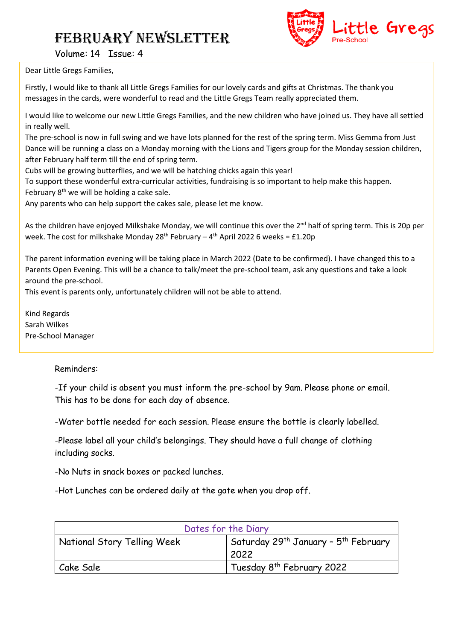

Volume: 14 Issue: 4

Dear Little Gregs Families,

Firstly, I would like to thank all Little Gregs Families for our lovely cards and gifts at Christmas. The thank you messages in the cards, were wonderful to read and the Little Gregs Team really appreciated them.

I would like to welcome our new Little Gregs Families, and the new children who have joined us. They have all settled in really well.

The pre-school is now in full swing and we have lots planned for the rest of the spring term. Miss Gemma from Just Dance will be running a class on a Monday morning with the Lions and Tigers group for the Monday session children, after February half term till the end of spring term.

Cubs will be growing butterflies, and we will be hatching chicks again this year!

To support these wonderful extra-curricular activities, fundraising is so important to help make this happen.

February 8<sup>th</sup> we will be holding a cake sale.

Any parents who can help support the cakes sale, please let me know.

As the children have enjoyed Milkshake Monday, we will continue this over the 2<sup>nd</sup> half of spring term. This is 20p per week. The cost for milkshake Monday 28<sup>th</sup> February – 4<sup>th</sup> April 2022 6 weeks = £1.20p

The parent information evening will be taking place in March 2022 (Date to be confirmed). I have changed this to a Parents Open Evening. This will be a chance to talk/meet the pre-school team, ask any questions and take a look around the pre-school.

This event is parents only, unfortunately children will not be able to attend.

Kind Regards Sarah Wilkes Pre-School Manager

#### Reminders:

-If your child is absent you must inform the pre-school by 9am. Please phone or email. This has to be done for each day of absence.

-Water bottle needed for each session. Please ensure the bottle is clearly labelled.

-Please label all your child's belongings. They should have a full change of clothing including socks.

-No Nuts in snack boxes or packed lunches.

-Hot Lunches can be ordered daily at the gate when you drop off.

| Dates for the Diary         |                                                              |
|-----------------------------|--------------------------------------------------------------|
| National Story Telling Week | Saturday 29 <sup>th</sup> January - 5 <sup>th</sup> February |
|                             | 2022                                                         |
| Cake Sale                   | Tuesday 8 <sup>th</sup> February 2022                        |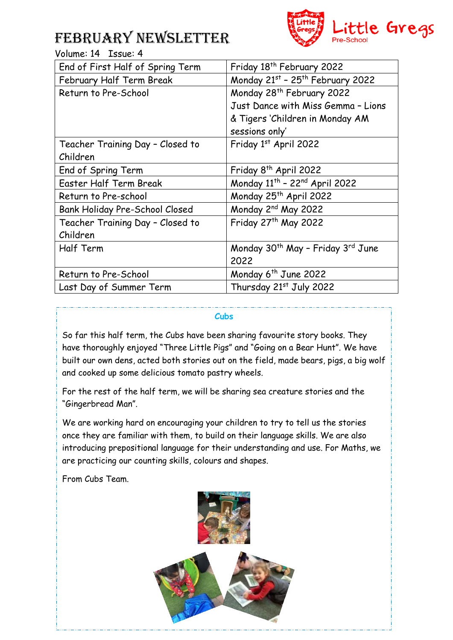

### Volume: 14 Issue: 4

| End of First Half of Spring Term | Friday 18 <sup>th</sup> February 2022                     |
|----------------------------------|-----------------------------------------------------------|
| February Half Term Break         | Monday 21st - 25th February 2022                          |
| Return to Pre-School             | Monday 28 <sup>th</sup> February 2022                     |
|                                  | Just Dance with Miss Gemma - Lions                        |
|                                  | & Tigers 'Children in Monday AM                           |
|                                  | sessions only'                                            |
| Teacher Training Day - Closed to | Friday 1st April 2022                                     |
| Children                         |                                                           |
| End of Spring Term               | Friday 8 <sup>th</sup> April 2022                         |
| Easter Half Term Break           | Monday 11 <sup>th</sup> - 22 <sup>nd</sup> April 2022     |
| Return to Pre-school             | Monday 25 <sup>th</sup> April 2022                        |
| Bank Holiday Pre-School Closed   | Monday 2 <sup>nd</sup> May 2022                           |
| Teacher Training Day - Closed to | Friday 27th May 2022                                      |
| Children                         |                                                           |
| Half Term                        | Monday 30 <sup>th</sup> May - Friday 3 <sup>rd</sup> June |
|                                  | 2022                                                      |
| Return to Pre-School             | Monday 6 <sup>th</sup> June 2022                          |
| Last Day of Summer Term          | Thursday 21st July 2022                                   |

#### **Cubs**

So far this half term, the Cubs have been sharing favourite story books. They have thoroughly enjoyed "Three Little Pigs" and "Going on a Bear Hunt". We have built our own dens, acted both stories out on the field, made bears, pigs, a big wolf and cooked up some delicious tomato pastry wheels.

For the rest of the half term, we will be sharing sea creature stories and the "Gingerbread Man".

We are working hard on encouraging your children to try to tell us the stories once they are familiar with them, to build on their language skills. We are also introducing prepositional language for their understanding and use. For Maths, we are practicing our counting skills, colours and shapes.

From Cubs Team.

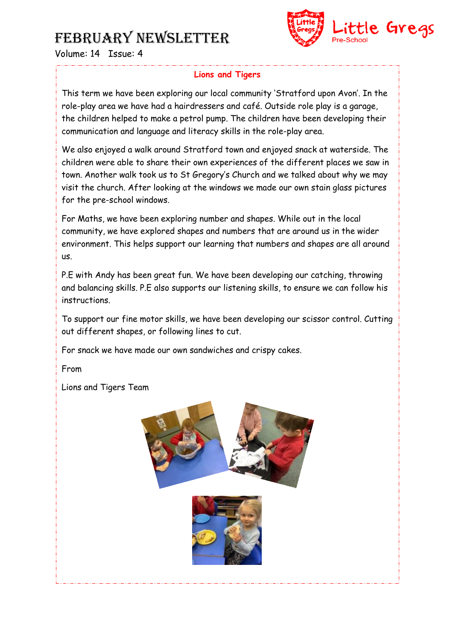

Volume: 14 Issue: 4

### **Lions and Tigers**

This term we have been exploring our local community 'Stratford upon Avon'. In the role-play area we have had a hairdressers and café. Outside role play is a garage, the children helped to make a petrol pump. The children have been developing their communication and language and literacy skills in the role-play area.

We also enjoyed a walk around Stratford town and enjoyed snack at waterside. The children were able to share their own experiences of the different places we saw in town. Another walk took us to St Gregory's Church and we talked about why we may visit the church. After looking at the windows we made our own stain glass pictures for the pre-school windows.

For Maths, we have been exploring number and shapes. While out in the local community, we have explored shapes and numbers that are around us in the wider environment. This helps support our learning that numbers and shapes are all around us.

P.E with Andy has been great fun. We have been developing our catching, throwing and balancing skills. P.E also supports our listening skills, to ensure we can follow his instructions.

To support our fine motor skills, we have been developing our scissor control. Cutting out different shapes, or following lines to cut.

For snack we have made our own sandwiches and crispy cakes.

From

Lions and Tigers Team